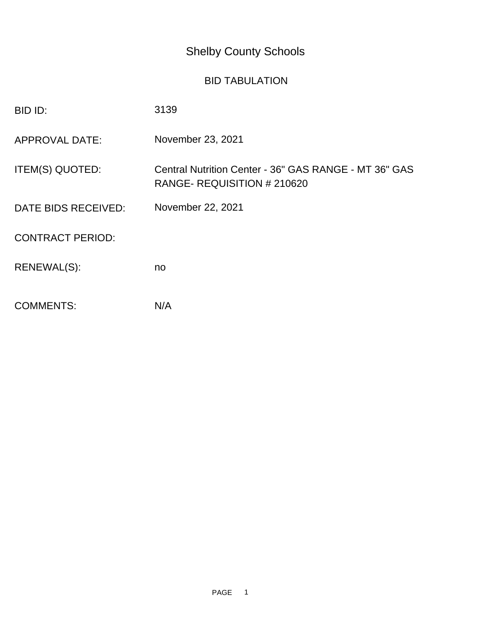## Shelby County Schools

## BID TABULATION

| BID ID:                 | 3139                                                                                |
|-------------------------|-------------------------------------------------------------------------------------|
| <b>APPROVAL DATE:</b>   | November 23, 2021                                                                   |
| ITEM(S) QUOTED:         | Central Nutrition Center - 36" GAS RANGE - MT 36" GAS<br>RANGE-REQUISITION # 210620 |
| DATE BIDS RECEIVED:     | November 22, 2021                                                                   |
| <b>CONTRACT PERIOD:</b> |                                                                                     |
| RENEWAL(S):             | no                                                                                  |
| <b>COMMENTS:</b>        | N/A                                                                                 |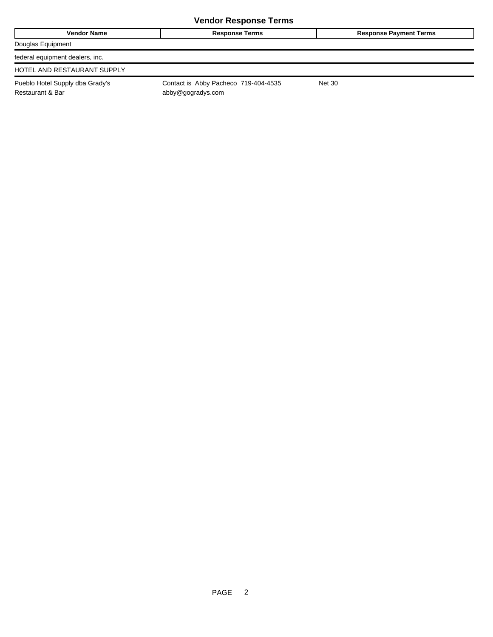| <b>Vendor Name</b>                                  | <b>Response Terms</b>                                     | <b>Response Payment Terms</b> |
|-----------------------------------------------------|-----------------------------------------------------------|-------------------------------|
| Douglas Equipment                                   |                                                           |                               |
| federal equipment dealers, inc.                     |                                                           |                               |
| HOTEL AND RESTAURANT SUPPLY                         |                                                           |                               |
| Pueblo Hotel Supply dba Grady's<br>Restaurant & Bar | Contact is Abby Pacheco 719-404-4535<br>abby@gogradys.com | <b>Net 30</b>                 |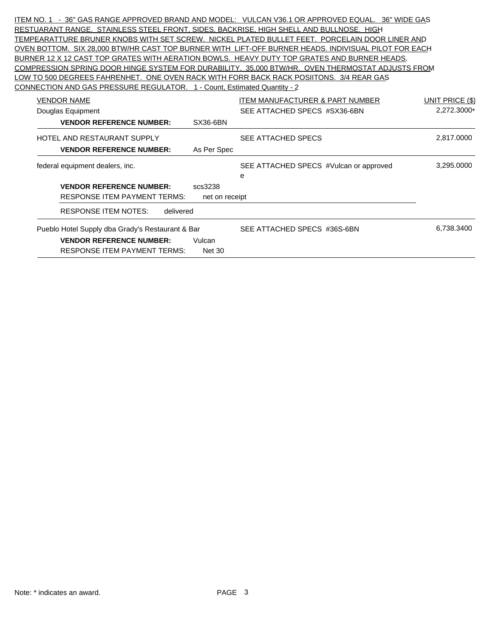ITEM NO. 1 - 36" GAS RANGE APPROVED BRAND AND MODEL: VULCAN V36.1 OR APPROVED EQUAL. 36" WIDE GAS RESTUARANT RANGE. STAINLESS STEEL FRONT, SIDES, BACKRISE, HIGH SHELL AND BULLNOSE. HIGH TEMPEARATTURE BRUNER KNOBS WITH SET SCREW. NICKEL PLATED BULLET FEET. PORCELAIN DOOR LINER AND OVEN BOTTOM. SIX 28,000 BTW/HR CAST TOP BURNER WITH LIFT-OFF BURNER HEADS. INDIVISUAL PILOT FOR EACH BURNER 12 X 12 CAST TOP GRATES WITH AERATION BOWLS. HEAVY DUTY TOP GRATES AND BURNER HEADS. COMPRESSION SPRING DOOR HINGE SYSTEM FOR DURABILITY. 35,000 BTW/HR. OVEN THERMOSTAT ADJUSTS FROM LOW TO 500 DEGREES FAHRENHET. ONE OVEN RACK WITH FORR BACK RACK POSIITONS. 3/4 REAR GAS CONNECTION AND GAS PRESSURE REGULATOR. 1 - Count, Estimated Quantity - 2

| <b>VENDOR NAME</b>                               |                | <b>ITEM MANUFACTURER &amp; PART NUMBER</b> | UNIT PRICE (\$) |
|--------------------------------------------------|----------------|--------------------------------------------|-----------------|
| Douglas Equipment                                |                | SEE ATTACHED SPECS #SX36-6BN               | 2,272.3000*     |
| <b>VENDOR REFERENCE NUMBER:</b>                  | SX36-6BN       |                                            |                 |
| HOTEL AND RESTAURANT SUPPLY                      |                | SEE ATTACHED SPECS                         | 2,817.0000      |
| <b>VENDOR REFERENCE NUMBER:</b>                  | As Per Spec    |                                            |                 |
| federal equipment dealers, inc.                  |                | SEE ATTACHED SPECS #Vulcan or approved     | 3,295.0000      |
|                                                  |                | e                                          |                 |
| <b>VENDOR REFERENCE NUMBER:</b>                  | scs3238        |                                            |                 |
| <b>RESPONSE ITEM PAYMENT TERMS:</b>              | net on receipt |                                            |                 |
| RESPONSE ITEM NOTES:<br>delivered                |                |                                            |                 |
| Pueblo Hotel Supply dba Grady's Restaurant & Bar |                | SEE ATTACHED SPECS #36S-6BN                | 6,738.3400      |
| <b>VENDOR REFERENCE NUMBER:</b>                  | Vulcan         |                                            |                 |
| RESPONSE ITEM PAYMENT TERMS:                     | <b>Net 30</b>  |                                            |                 |